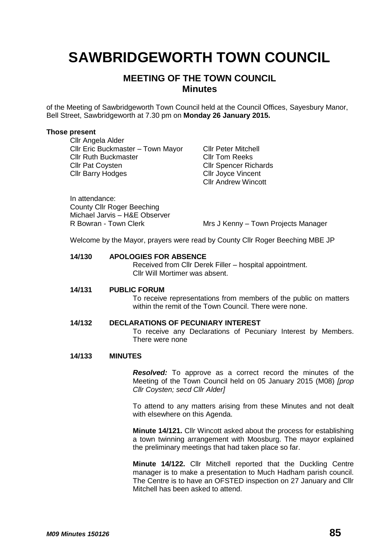# **SAWBRIDGEWORTH TOWN COUNCIL**

# **MEETING OF THE TOWN COUNCIL Minutes**

of the Meeting of Sawbridgeworth Town Council held at the Council Offices, Sayesbury Manor, Bell Street, Sawbridgeworth at 7.30 pm on **Monday 26 January 2015.**

#### **Those present**

Cllr Angela Alder Cllr Eric Buckmaster – Town Mayor Cllr Peter Mitchell Cllr Ruth Buckmaster Cllr Tom Reeks Cllr Pat Coysten Cllr Spencer Richards Cllr Barry Hodges Cllr Joyce Vincent

Cllr Andrew Wincott

In attendance: County Cllr Roger Beeching Michael Jarvis – H&E Observer

R Bowran - Town Clerk Mrs J Kenny – Town Projects Manager

Welcome by the Mayor, prayers were read by County Cllr Roger Beeching MBE JP

# **14/130 APOLOGIES FOR ABSENCE**

Received from Cllr Derek Filler – hospital appointment. Cllr Will Mortimer was absent.

#### **14/131 PUBLIC FORUM**

To receive representations from members of the public on matters within the remit of the Town Council. There were none.

# **14/132 DECLARATIONS OF PECUNIARY INTEREST**

To receive any Declarations of Pecuniary Interest by Members. There were none

#### **14/133 MINUTES**

*Resolved:* To approve as a correct record the minutes of the Meeting of the Town Council held on 05 January 2015 (M08) *[prop Cllr Coysten; secd Cllr Alder]*

To attend to any matters arising from these Minutes and not dealt with elsewhere on this Agenda.

**Minute 14/121.** Cllr Wincott asked about the process for establishing a town twinning arrangement with Moosburg. The mayor explained the preliminary meetings that had taken place so far.

**Minute 14/122.** Cllr Mitchell reported that the Duckling Centre manager is to make a presentation to Much Hadham parish council. The Centre is to have an OFSTED inspection on 27 January and Cllr Mitchell has been asked to attend.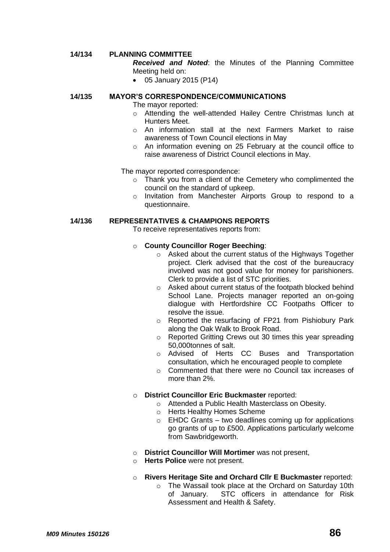# **14/134 PLANNING COMMITTEE**

*Received and Noted*: the Minutes of the Planning Committee Meeting held on:

05 January 2015 (P14)

#### **14/135 MAYOR'S CORRESPONDENCE/COMMUNICATIONS**

The mayor reported:

- o Attending the well-attended Hailey Centre Christmas lunch at Hunters Meet.
- o An information stall at the next Farmers Market to raise awareness of Town Council elections in May
- o An information evening on 25 February at the council office to raise awareness of District Council elections in May.

The mayor reported correspondence:

- o Thank you from a client of the Cemetery who complimented the council on the standard of upkeep.
- o Invitation from Manchester Airports Group to respond to a questionnaire.

#### **14/136 REPRESENTATIVES & CHAMPIONS REPORTS**

To receive representatives reports from:

#### o **County Councillor Roger Beeching**:

- o Asked about the current status of the Highways Together project. Clerk advised that the cost of the bureaucracy involved was not good value for money for parishioners. Clerk to provide a list of STC priorities.
- o Asked about current status of the footpath blocked behind School Lane. Projects manager reported an on-going dialogue with Hertfordshire CC Footpaths Officer to resolve the issue.
- o Reported the resurfacing of FP21 from Pishiobury Park along the Oak Walk to Brook Road.
- o Reported Gritting Crews out 30 times this year spreading 50,000tonnes of salt.
- o Advised of Herts CC Buses and Transportation consultation, which he encouraged people to complete
- o Commented that there were no Council tax increases of more than 2%.

#### o **District Councillor Eric Buckmaster** reported:

- o Attended a Public Health Masterclass on Obesity.
- o Herts Healthy Homes Scheme
- $\circ$  EHDC Grants two deadlines coming up for applications go grants of up to £500. Applications particularly welcome from Sawbridgeworth.
- o **District Councillor Will Mortimer** was not present,
- o **Herts Police** were not present.
- o **Rivers Heritage Site and Orchard Cllr E Buckmaster** reported:
	- o The Wassail took place at the Orchard on Saturday 10th of January. STC officers in attendance for Risk Assessment and Health & Safety.